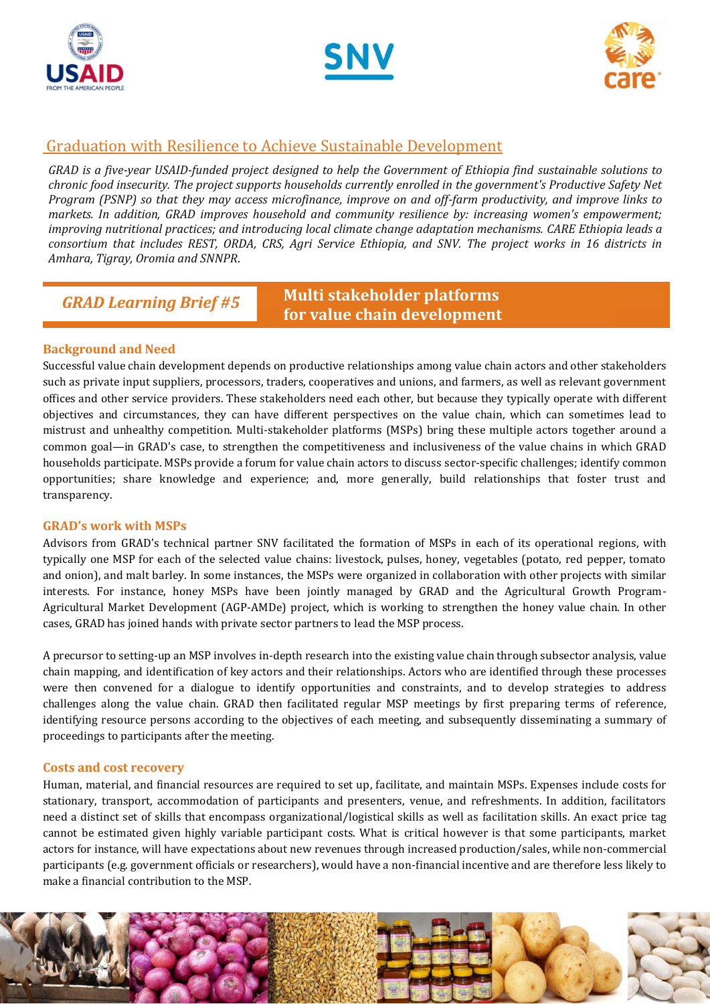





## Graduation with Resilience to Achieve Sustainable Development

*GRAD is a five-year USAID-funded project designed to help the Government of Ethiopia find sustainable solutions to chronic food insecurity. The project supports households currently enrolled in the government's Productive Safety Net Program (PSNP) so that they may access microfinance, improve on and off-farm productivity, and improve links to markets. In addition, GRAD improves household and community resilience by: increasing women's empowerment; improving nutritional practices; and introducing local climate change adaptation mechanisms. CARE Ethiopia leads a consortium that includes REST, ORDA, CRS, Agri Service Ethiopia, and SNV. The project works in 16 districts in Amhara, Tigray, Oromia and SNNPR*.

*GRAD Learning Brief #5*

# **Multi stakeholder platforms for value chain development**

### **Background and Need**

Successful value chain development depends on productive relationships among value chain actors and other stakeholders such as private input suppliers, processors, traders, cooperatives and unions, and farmers, as well as relevant government offices and other service providers. These stakeholders need each other, but because they typically operate with different objectives and circumstances, they can have different perspectives on the value chain, which can sometimes lead to mistrust and unhealthy competition. Multi-stakeholder platforms (MSPs) bring these multiple actors together around a common goal—in GRAD's case, to strengthen the competitiveness and inclusiveness of the value chains in which GRAD households participate. MSPs provide a forum for value chain actors to discuss sector-specific challenges; identify common opportunities; share knowledge and experience; and, more generally, build relationships that foster trust and transparency.

#### **GRAD's work with MSPs**

Advisors from GRAD's technical partner SNV facilitated the formation of MSPs in each of its operational regions, with typically one MSP for each of the selected value chains: livestock, pulses, honey, vegetables (potato, red pepper, tomato and onion), and malt barley. In some instances, the MSPs were organized in collaboration with other projects with similar interests. For instance, honey MSPs have been jointly managed by GRAD and the Agricultural Growth Program-Agricultural Market Development (AGP-AMDe) project, which is working to strengthen the honey value chain. In other cases, GRAD has joined hands with private sector partners to lead the MSP process.

A precursor to setting-up an MSP involves in-depth research into the existing value chain through subsector analysis, value chain mapping, and identification of key actors and their relationships. Actors who are identified through these processes were then convened for a dialogue to identify opportunities and constraints, and to develop strategies to address challenges along the value chain. GRAD then facilitated regular MSP meetings by first preparing terms of reference, identifying resource persons according to the objectives of each meeting, and subsequently disseminating a summary of proceedings to participants after the meeting.

#### **Costs and cost recovery**

Human, material, and financial resources are required to set up, facilitate, and maintain MSPs. Expenses include costs for stationary, transport, accommodation of participants and presenters, venue, and refreshments. In addition, facilitators need a distinct set of skills that encompass organizational/logistical skills as well as facilitation skills. An exact price tag cannot be estimated given highly variable participant costs. What is critical however is that some participants, market actors for instance, will have expectations about new revenues through increased production/sales, while non-commercial participants (e.g. government officials or researchers), would have a non-financial incentive and are therefore less likely to make a financial contribution to the MSP.